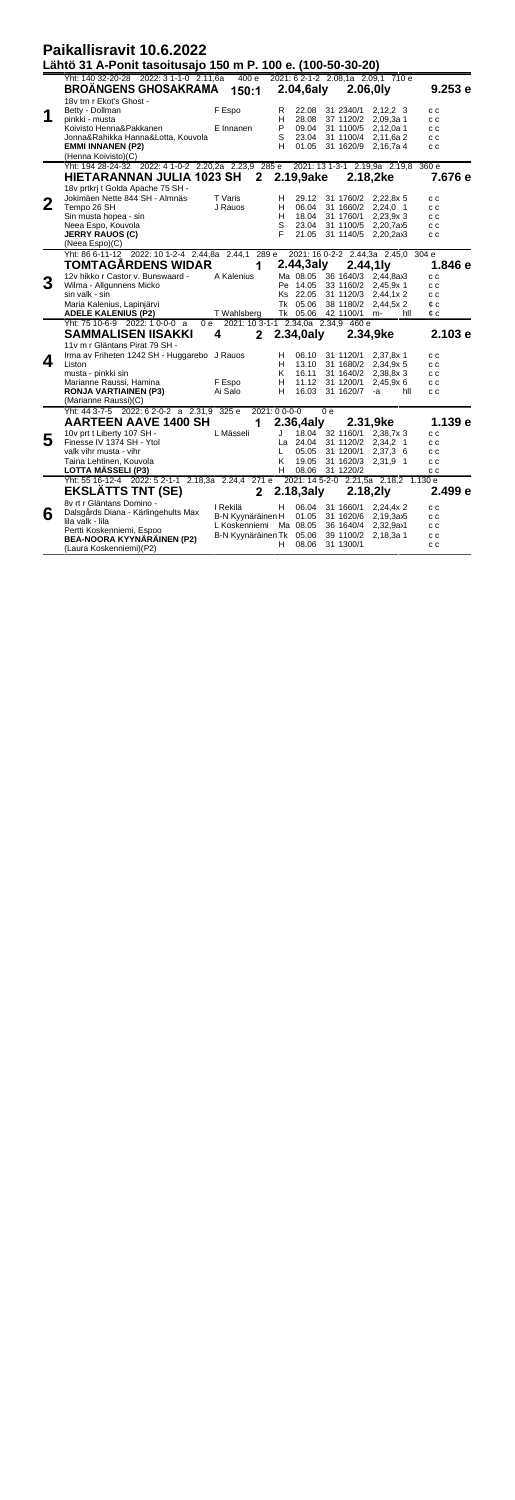|   | Paikallisravit 10.6.2022                                                                                                                                    |                                                                                     |                       |                                           |                                     |                                                                                   |                                 |  |
|---|-------------------------------------------------------------------------------------------------------------------------------------------------------------|-------------------------------------------------------------------------------------|-----------------------|-------------------------------------------|-------------------------------------|-----------------------------------------------------------------------------------|---------------------------------|--|
|   | Lähtö 31 A-Ponit tasoitusajo 150 m P. 100 e. (100-50-30-20)                                                                                                 |                                                                                     |                       |                                           |                                     |                                                                                   |                                 |  |
|   | Yht: 140 32-20-28 2022: 3 1-1-0 2.11,6a<br><b>BROANGENS GHOSAKRAMA</b><br>18v trn r Ekot's Ghost -                                                          | 400e<br>150:1                                                                       |                       | $2.04,6$ aly                              |                                     | 2021: 6 2-1-2 2.08,1a 2.09,1 710 e<br>2.06.0 <sub>l</sub> v                       | 9.253e                          |  |
|   | Betty - Dollman<br>pinkki - musta<br>Koivisto Henna&Pakkanen<br>Jonna&Rahikka Hanna&Lotta, Kouvola                                                          | F Espo<br>E Innanen                                                                 | R<br>н<br>P<br>S      | 22.08<br>28.08<br>09.04<br>23.04          | 31 2340/1<br>37 1120/2              | $2.12.2 \quad 3$<br>2.09.3a 1<br>31 1100/5 2,12,0a 1                              | c c<br>c c<br>c c               |  |
|   | <b>EMMI INNANEN (P2)</b><br>(Henna Koivisto)(C)                                                                                                             |                                                                                     | н                     | 01.05                                     |                                     | 31 1100/4 2,11,6a 2<br>31 1620/9 2.16.7a 4                                        | c c<br>c c                      |  |
|   | Yht: 194 28-24-32 2022: 4 1-0-2 2.20, 2a 2.23, 9 285 e<br>HIETARANNAN JULIA 1023 SH 2                                                                       |                                                                                     |                       | 2.19,9ake                                 |                                     | 2021: 13 1-3-1 2.19,9a 2.19,8 360 e<br>2.18,2ke                                   | 7.676 e                         |  |
| 2 | 18v prtkrj t Golda Apache 75 SH -<br>Jokimäen Nette 844 SH - Almnäs<br>Tempo 26 SH<br>Sin musta hopea - sin<br>Neea Espo, Kouvola<br><b>JERRY RAUOS (C)</b> | T Varis<br>J Rauos                                                                  | н<br>н<br>н<br>S<br>F | 29.12<br>06.04<br>18.04<br>23.04<br>21.05 | 31 1760/2<br>31 1660/2<br>31 1760/1 | 2,22,8x 5<br>$2.24.0$ 1<br>2,23,9x3<br>31 1100/5 2,20,7a>5<br>31 1140/5 2,20,2ax3 | c c<br>c c<br>c c<br>c c<br>c c |  |
|   | (Neea Espo)(C)                                                                                                                                              |                                                                                     |                       |                                           |                                     |                                                                                   |                                 |  |
|   | Yht: 86 6-11-12 2022: 10 1-2-4 2.44,8a 2.44,1 289 e 2021: 16 0-2-2 2.44,3a 2.45,0 304 e<br><b>TOMTAGARDENS WIDAR</b>                                        | 1                                                                                   |                       | 2.44,3aly                                 |                                     | 2.44,1 <sub>l</sub>                                                               | 1.846 e                         |  |
| 3 | 12v hikko r Castor v. Bunswaard -<br>Wilma - Allgunnens Micko<br>sin valk - sin                                                                             | A Kalenius                                                                          |                       | Pe 14.05<br>Ks 22.05                      |                                     | Ma 08.05 36 1640/3 2.44.8ax3<br>33 1160/2 2,45,9x 1<br>31 1120/3 2,44,1x 2        | c c<br>c c<br>c c               |  |
|   | Maria Kalenius, Lapinjärvi<br><b>ADELE KALENIUS (P2)</b>                                                                                                    | T Wahlsberg                                                                         |                       | Tk 05.06                                  | 38 1180/2<br>Tk 05.06 42 1100/1     | 2.44.5x2<br>hll<br>m-                                                             | ¢ c<br>¢с                       |  |
|   | Yht: 75 10-6-9 2022: 1 0-0-0 a<br>Оe<br><b>SAMMALISEN IISAKKI</b>                                                                                           | 2021: 10 3-1-1 2.34.0a 2.34.9 460 e<br>4<br>2                                       |                       | 2.34,0aly                                 |                                     | 2.34.9ke                                                                          | 2.103e                          |  |
| 4 | 11v m r Gläntans Pirat 79 SH -<br>Irma av Friheten 1242 SH - Huggarebo J Rauos<br>Liston<br>musta - pinkki sin                                              |                                                                                     | н<br>н<br>K           | 06.10<br>16.11                            | 31 1120/1                           | 2,37,8x 1<br>13.10 31 1680/2 2,34,9x 5<br>31 1640/2 2,38,8x 3                     | c c<br>c c<br>c c               |  |
|   | Marianne Raussi, Hamina<br><b>RONJA VARTIAINEN (P3)</b><br>(Marianne Raussi)(C)                                                                             | F Espo<br>Ai Salo                                                                   | н<br>н                | 11.12                                     | 31 1200/1<br>16.03 31 1620/7        | 2,45,9x6<br>hll<br>-а                                                             | c c<br>c c                      |  |
|   | Yht: 44 3-7-5 2022: 6 2-0-2 a 2.31,9 325 e<br>AARTEEN AAVE 1400 SH                                                                                          | 1                                                                                   | 2021: 00--00          | 2.36,4alv                                 | 0 <sub>e</sub>                      | 2.31,9ke                                                                          | 1.139 e                         |  |
| 5 | 10v prt t Liberty 107 SH -<br>Finesse IV 1374 SH - Ytol                                                                                                     | L Mässeli                                                                           | J                     | La 24.04                                  |                                     | 18.04 32 1160/1 2,38,7x 3<br>31 1120/2 2,34,2 1                                   | c c<br>c c                      |  |
|   | valk vihr musta - vihr<br>Taina Lehtinen, Kouvola<br><b>LOTTA MÄSSELI (P3)</b>                                                                              |                                                                                     | L.<br>Κ<br>н          | 05.05<br>19.05<br>08.06                   | 31 1200/1<br>31 1220/2              | 2,37,3 6<br>31 1620/3 2,31,9 1                                                    | c c<br>c c<br>c c               |  |
|   | Yht: 55 16-12-4 2022: 5 2-1-1 2.18,3a 2.24,4 271 e<br><b>EKSLATTS TNT (SE)</b>                                                                              | 2                                                                                   |                       | 2.18,3aly                                 |                                     | 2021: 14 5-2-0 2.21,5a 2.18,2 1.130 e<br>2.18,21y                                 | 2.499 e                         |  |
| 6 | 8v rt r Gläntans Domino -<br>Dalsgårds Diana - Kärlingehults Max<br>lila valk - lila<br>Pertti Koskenniemi, Espoo                                           | I Rekilä<br>B-N Kyynäräinen H<br>L Koskenniemi Ma 08.05<br>B-N Kyynäräinen Tk 05.06 | н                     | 06.04<br>01.05                            | 31 1660/1<br>39 1100/2              | 2,24,4x2<br>31 1620/6 2.19.3a>5<br>36 1640/4 2,32,9ax1<br>2,18,3a 1               | c c<br>c c<br>c c<br>c c        |  |
|   | BEA-NOORA KYYNÄRÄINEN (P2)<br>(Laura Koskenniemi) (P2)                                                                                                      |                                                                                     | H.                    | 08.06                                     | 31 1300/1                           |                                                                                   | c c                             |  |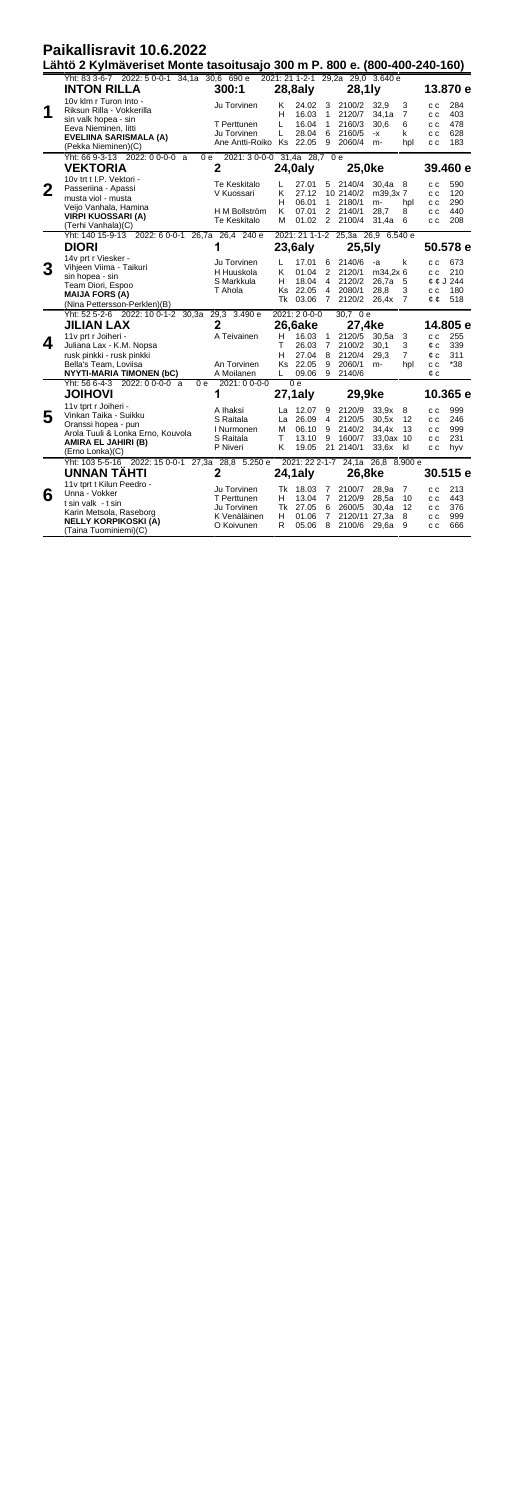|              | Paikallisravit 10.6.2022<br>Lähtö 2 Kylmäveriset Monte tasoitusajo 300 m P. 800 e. (800-400-240-160) |                                       |              |                                                           |                                  |                                   |                        |                          |                   |                   |  |  |
|--------------|------------------------------------------------------------------------------------------------------|---------------------------------------|--------------|-----------------------------------------------------------|----------------------------------|-----------------------------------|------------------------|--------------------------|-------------------|-------------------|--|--|
|              | Yht: 83 3-6-7 2022: 5 0-0-1 34,1a 30,6 690 e                                                         |                                       |              |                                                           |                                  | 2021: 21 1-2-1 29,2a 29,0 3.640 e |                        |                          |                   |                   |  |  |
|              | <b>INTON RILLA</b>                                                                                   | 300:1                                 |              | 28,8aly                                                   |                                  | 28,1 ly                           |                        |                          | 13.870 e          |                   |  |  |
| 1            | 10v klm r Turon Into -<br>Riksun Rilla - Vokkerilla<br>sin valk hopea - sin                          | Ju Torvinen<br>T Perttunen            | Κ<br>н<br>L  | 24.02<br>16.03<br>16.04                                   | 3<br>1<br>1                      | 2100/2<br>2120/7<br>2160/3        | 32.9<br>34,1a<br>30.6  | 3<br>$\overline{7}$<br>6 | c c<br>c c<br>c c | 284<br>403<br>478 |  |  |
|              | Eeva Nieminen, litti<br>EVELIINA SARISMALA (A)<br>(Pekka Nieminen)(C)                                | Ju Torvinen<br>Ane Antti-Roiko Ks     | L            | 28.04<br>22.05                                            | 6<br>9                           | 2160/5<br>2060/4                  | -х<br>m-               | k<br>hpl                 | c c<br>c c        | 628<br>183        |  |  |
|              | Yht: 66 9-3-13 2022: 0 0-0-0 a<br><b>VEKTORIA</b>                                                    | 2021:30-0-0 31,4a 28,7 0 e<br>0e<br>2 |              | 24,0aly                                                   |                                  | 25,0ke                            |                        |                          |                   | 39.460 e          |  |  |
| $\mathbf{2}$ | 10y trt t I.P. Vektori -<br>Passeriina - Apassi<br>musta viol - musta                                | Te Keskitalo<br>V Kuossari            | L<br>K<br>н  | 27.01<br>27.12<br>06.01                                   | 5<br>1                           | 2140/4<br>10 2140/2<br>2180/1     | 30.4a<br>m39.3x7<br>m- | 8<br>hpl                 | c c<br>c c<br>c c | 590<br>120<br>290 |  |  |
|              | Veijo Vanhala, Hamina<br><b>VIRPI KUOSSARI (A)</b><br>(Terhi Vanhala)(C)                             | H M Bollström<br>Te Keskitalo         | K<br>M       | 07.01<br>01.02                                            | $\overline{2}$<br>2              | 2140/1<br>2100/4                  | 28.7<br>31,4a          | 8<br>6                   | c c<br>c c        | 440<br>208        |  |  |
|              | Yht: 140 15-9-13 2022: 6 0-0-1 26,7a 26,4 240 e                                                      |                                       |              |                                                           |                                  | 2021: 21 1-1-2 25,3a 26,9 6.540 e |                        |                          | 50.578 e          |                   |  |  |
|              | <b>DIORI</b>                                                                                         | 1                                     |              | $23,6$ aly                                                |                                  | $25,5$ ly                         |                        |                          |                   |                   |  |  |
|              | 14v prt r Viesker -<br>Vihjeen Viima - Taikuri                                                       | Ju Torvinen                           | L            | 17.01                                                     | 6                                | 2140/6                            | -a                     | k                        | c c               | 673               |  |  |
| 3            | sin hopea - sin                                                                                      | H Huuskola                            | K            | 01.04                                                     | $\overline{2}$                   | 2120/1                            | m34.2x 6               |                          | c c               | 210               |  |  |
|              | Team Diori, Espoo                                                                                    | S Markkula<br>T Ahola                 | н            | 18.04<br>Ks 22.05                                         | $\overline{4}$<br>$\overline{4}$ | 2120/2<br>2080/1                  | 26.7a 5<br>28,8        | 3                        | c c               | ¢ ¢ J 244<br>180  |  |  |
|              | <b>MAIJA FORS (A)</b><br>(Nina Pettersson-Perklen)(B)                                                |                                       | Tk           | 03.06                                                     | $\overline{7}$                   | 2120/2                            | 26,4x                  | $\overline{7}$           | ¢¢                | 518               |  |  |
|              | Yht: 52 5-2-6 2022: 10 0-1-2 30,3a 29,3 3.490 e                                                      |                                       | 2021: 20-0-0 |                                                           |                                  | $30.7 \ 0e$<br>27,4ke             |                        |                          |                   |                   |  |  |
|              | JILIAN LAX                                                                                           | $\mathbf{2}$                          |              | 26,6ake                                                   |                                  |                                   |                        |                          |                   | 14.805 e          |  |  |
| 4            | 11 v prt r Joiheri -                                                                                 | A Teivainen                           | н<br>т       | 16.03<br>26.03 7                                          | $\mathbf{1}$                     | 2120/5 30,5a<br>2100/2            | 30.1                   | 3<br>3                   | c c<br>¢ c        | 255<br>339        |  |  |
|              | Juliana Lax - K.M. Nopsa<br>rusk pinkki - rusk pinkki                                                |                                       | н            | 27.04                                                     | 8                                | 2120/4                            | 29.3                   | 7                        | ¢ c               | 311               |  |  |
|              | Bella's Team, Loviisa                                                                                | An Torvinen                           |              | Ks 22.05                                                  | 9                                | 2060/1                            | m-                     | hpl                      | c c               | $*38$             |  |  |
|              | <b>NYYTI-MARIA TIMONEN (bC)</b>                                                                      | A Moilanen                            | L            | 09.06                                                     | 9                                | 2140/6                            |                        |                          | ¢с                |                   |  |  |
|              | Yht: 56 6-4-3 2022: 0 0-0-0 a<br>Ōе                                                                  | 2021: 0 0-0-0                         |              | 0e                                                        |                                  |                                   |                        |                          |                   |                   |  |  |
|              | <b>JOIHOVI</b>                                                                                       | 1                                     |              | 27,1aly<br>29,9ke                                         |                                  |                                   | 10.365 e               |                          |                   |                   |  |  |
|              | 11 v tprt r Joiheri -                                                                                | A Ihaksi                              | La           | 12.07                                                     | 9                                | 2120/9                            | 33.9x                  | 8                        | c c               | 999               |  |  |
| 5            | Vinkan Taika - Suikku<br>Oranssi hopea - pun                                                         | S Raitala                             | La           | 26.09                                                     | 4                                | 2120/5                            | 30.5x                  | 12                       | c c               | 246               |  |  |
|              | Arola Tuuli & Lonka Erno, Kouvola                                                                    | I Nurmonen                            | м            | 06.10                                                     | 9                                | 2140/2                            | 34.4x                  | 13                       | c c               | 999               |  |  |
|              | AMIRA EL JAHIRI (B)                                                                                  | S Raitala<br>P Niveri                 | т<br>κ       | 13.10<br>19.05                                            | 9                                | 1600/7                            | 33,0ax 10              | kl                       | c c<br>c c        | 231               |  |  |
|              | (Erno Lonka)(C)                                                                                      |                                       |              |                                                           |                                  | 21 21 40/1                        | 33.6x                  |                          |                   | hyv               |  |  |
|              | Yht: 103 5-5-16 2022: 15 0-0-1 27,3a 28,8 5.250 e<br><b>UNNAN TAHTI</b>                              | 2                                     |              | 2021: 22 2-1-7<br>24.1a 26.8 8.900 e<br>24,1aly<br>26.8ke |                                  |                                   |                        | 30.515 e                 |                   |                   |  |  |
|              | 11v tprt t Kilun Peedro -                                                                            |                                       |              |                                                           |                                  |                                   |                        |                          |                   |                   |  |  |
| 6            | Unna - Vokker                                                                                        | Ju Torvinen                           |              | Tk 18.03                                                  | 7                                | 2100/7                            | 28.9a                  | 7                        | c c               | 213               |  |  |
|              | t sin valk - t sin                                                                                   | T Perttunen<br>Ju Torvinen            | н            | 13.04<br>Tk 27.05                                         | $\overline{7}$<br>6              | 2120/9<br>2600/5                  | 28.5a<br>30.4a         | 10<br>12                 | c c               | 443<br>376        |  |  |
|              | Karin Metsola, Raseborg                                                                              | K Venäläinen                          | н            | 01.06                                                     | $\overline{7}$                   | 2120/11 27.3a                     |                        | 8                        | c c<br>c c        | 999               |  |  |
|              | <b>NELLY KORPIKOSKI (A)</b><br>(Taina Tuominiemi)(C)                                                 | O Koivunen                            | R            | 05.06                                                     | 8                                | 2100/6                            | 29.6a                  | 9                        | c c               | 666               |  |  |